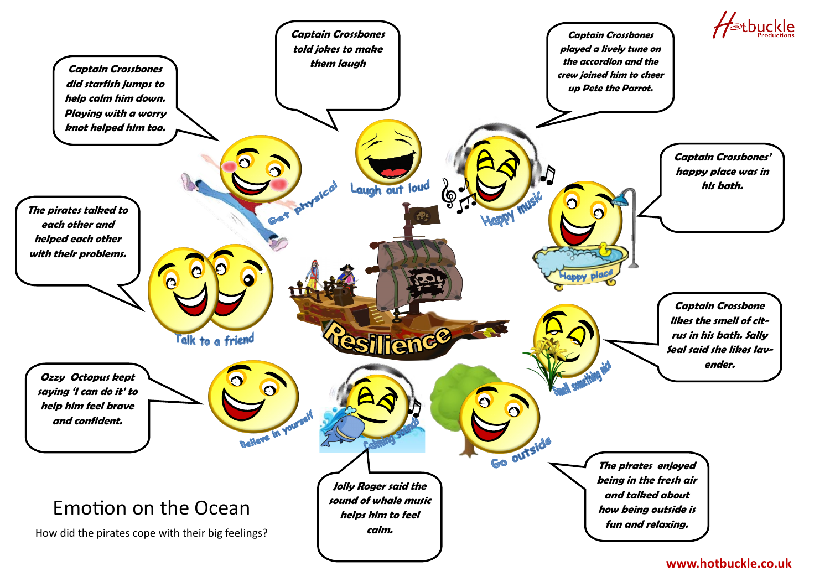